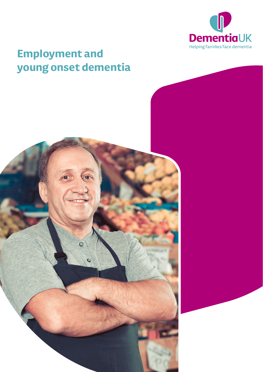

# **Employment and young onset dementia**

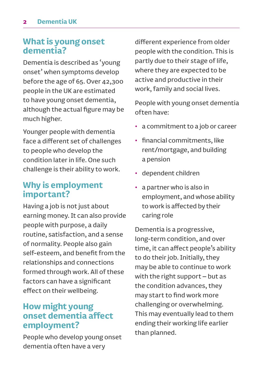### **What is young onset dementia?**

Dementia is described as 'young onset' when symptoms develop before the age of 65. Over 42,300 people in the UK are estimated to have young onset dementia, although the actual figure may be much higher.

Younger people with dementia face a different set of challenges to people who develop the condition later in life. One such challenge is their ability to work.

# **Why is employment important?**

Having a job is not just about earning money. It can also provide people with purpose, a daily routine, satisfaction, and a sense of normality. People also gain self-esteem, and benefit from the relationships and connections formed through work. All of these factors can have a significant effect on their wellbeing.

# **How might young onset dementia affect employment?**

People who develop young onset dementia often have a very

different experience from older people with the condition. This is partly due to their stage of life, where they are expected to be active and productive in their work, family and social lives.

People with young onset dementia often have:

- a commitment to a job or career
- financial commitments, like rent/mortgage, and building a pension
- dependent children
- a partner who is also in employment, and whose ability to work is affected by their caring role

Dementia is a progressive, long-term condition, and over time, it can affect people's ability to do their job. Initially, they may be able to continue to work with the right support – but as the condition advances, they may start to find work more challenging or overwhelming. This may eventually lead to them ending their working life earlier than planned.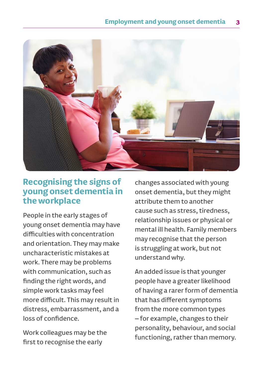

# **Recognising the signs of young onset dementia in the workplace**

People in the early stages of young onset dementia may have difficulties with concentration and orientation. They may make uncharacteristic mistakes at work. There may be problems with communication, such as finding the right words, and simple work tasks may feel more difficult. This may result in distress, embarrassment, and a loss of confidence.

Work colleagues may be the first to recognise the early

changes associated with young onset dementia, but they might attribute them to another cause such as stress, tiredness, relationship issues or physical or mental ill health. Family members may recognise that the person is struggling at work, but not understand why.

An added issue is that younger people have a greater likelihood of having a rarer form of dementia that has different symptoms from the more common types – for example, changes to their personality, behaviour, and social functioning, rather than memory.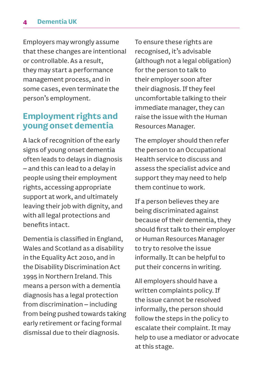#### **4 Dementia UK**

Employers may wrongly assume that these changes are intentional or controllable. As a result, they may start a performance management process, and in some cases, even terminate the person's employment.

# **Employment rights and young onset dementia**

A lack of recognition of the early signs of young onset dementia often leads to delays in diagnosis – and this can lead to a delay in people using their employment rights, accessing appropriate support at work, and ultimately leaving their job with dignity, and with all legal protections and benefits intact.

Dementia is classified in England, Wales and Scotland as a disability in the Equality Act 2010, and in the Disability Discrimination Act 1995 in Northern Ireland. This means a person with a dementia diagnosis has a legal protection from discrimination – including from being pushed towards taking early retirement or facing formal dismissal due to their diagnosis.

To ensure these rights are recognised, it's advisable (although not a legal obligation) for the person to talk to their employer soon after their diagnosis. If they feel uncomfortable talking to their immediate manager, they can raise the issue with the Human Resources Manager.

The employer should then refer the person to an Occupational Health service to discuss and assess the specialist advice and support they may need to help them continue to work.

If a person believes they are being discriminated against because of their dementia, they should first talk to their employer or Human Resources Manager to try to resolve the issue informally. It can be helpful to put their concerns in writing.

All employers should have a written complaints policy. If the issue cannot be resolved informally, the person should follow the steps in the policy to escalate their complaint. It may help to use a mediator or advocate at this stage.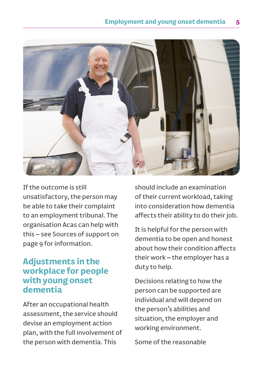

If the outcome is still unsatisfactory, the person may be able to take their complaint to an employment tribunal. The organisation Acas can help with this – see Sources of support on page 9 for information.

# **Adjustments in the workplace for people with young onset dementia**

After an occupational health assessment, the service should devise an employment action plan, with the full involvement of the person with dementia. This

should include an examination of their current workload, taking into consideration how dementia affects their ability to do their job.

It is helpful for the person with dementia to be open and honest about how their condition affects their work – the employer has a duty to help.

Decisions relating to how the person can be supported are individual and will depend on the person's abilities and situation, the employer and working environment.

Some of the reasonable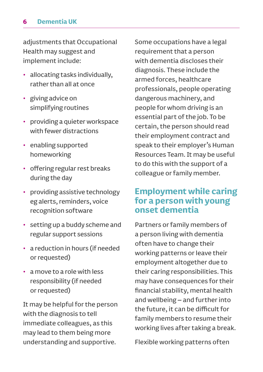### **6 Dementia UK**

adjustments that Occupational Health may suggest and implement include:

- allocating tasks individually, rather than all at once
- giving advice on simplifying routines
- providing a quieter workspace with fewer distractions
- enabling supported homeworking
- offering regular rest breaks during the day
- providing assistive technology eg alerts, reminders, voice recognition software
- setting up a buddy scheme and regular support sessions
- a reduction in hours (if needed or requested)
- a move to a role with less responsibility (if needed or requested)

It may be helpful for the person with the diagnosis to tell immediate colleagues, as this may lead to them being more understanding and supportive.

Some occupations have a legal requirement that a person with dementia discloses their diagnosis. These include the armed forces, healthcare professionals, people operating dangerous machinery, and people for whom driving is an essential part of the job. To be certain, the person should read their employment contract and speak to their employer's Human Resources Team. It may be useful to do this with the support of a colleague or family member.

### **Employment while caring for a person with young onset dementia**

Partners or family members of a person living with dementia often have to change their working patterns or leave their employment altogether due to their caring responsibilities. This may have consequences for their financial stability, mental health and wellbeing – and further into the future, it can be difficult for family members to resume their working lives after taking a break.

Flexible working patterns often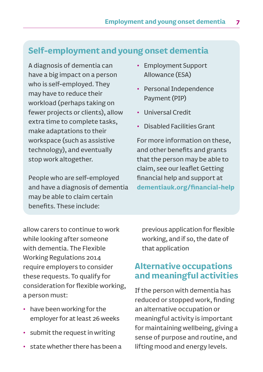# **Self-employment and young onset dementia**

A diagnosis of dementia can have a big impact on a person who is self-employed. They may have to reduce their workload (perhaps taking on fewer projects or clients), allow extra time to complete tasks, make adaptations to their workspace (such as assistive technology), and eventually stop work altogether.

People who are self-employed and have a diagnosis of dementia may be able to claim certain benefits. These include:

- Employment Support Allowance (ESA)
- Personal Independence Payment (PIP)
- Universal Credit
- Disabled Facilities Grant

For more information on these, and other benefits and grants that the person may be able to claim, see our leaflet Getting financial help and support at **[dementiauk.org/financial-help](http://dementiauk.org/financial-help)**

allow carers to continue to work while looking after someone with dementia. The Flexible Working Regulations 2014 require employers to consider these requests. To qualify for consideration for flexible working, a person must:

- have been working for the employer for at least 26 weeks
- submit the request in writing
- state whether there has been a

previous application for flexible working, and if so, the date of that application

# **Alternative occupations and meaningful activities**

If the person with dementia has reduced or stopped work, finding an alternative occupation or meaningful activity is important for maintaining wellbeing, giving a sense of purpose and routine, and lifting mood and energy levels.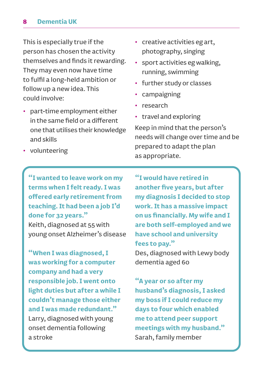#### **8 Dementia UK**

This is especially true if the person has chosen the activity themselves and finds it rewarding. They may even now have time to fulfil a long-held ambition or follow up a new idea. This could involve:

• part-time employment either in the same field or a different one that utilises their knowledge and skills

- creative activities eg art, photography, singing
- sport activities eg walking, running, swimming
- further study or classes
- campaigning
- research
- travel and exploring

Keep in mind that the person's needs will change over time and be prepared to adapt the plan as appropriate.

• volunteering

**"I wanted to leave work on my terms when I felt ready. I was offered early retirement from teaching. It had been a job I'd done for 32 years."** Keith, diagnosed at 55 with young onset Alzheimer's disease

**"When I was diagnosed, I was working for a computer company and had a very responsible job. I went onto light duties but after a while I couldn't manage those either and I was made redundant."** Larry, diagnosed with young onset dementia following a stroke

**"I would have retired in another five years, but after my diagnosis I decided to stop work. It has a massive impact on us financially. My wife and I are both self-employed and we have school and university fees to pay."**

Des, diagnosed with Lewy body dementia aged 60

**"A year or so after my husband's diagnosis, I asked my boss if I could reduce my days to four which enabled me to attend peer support meetings with my husband."**  Sarah, family member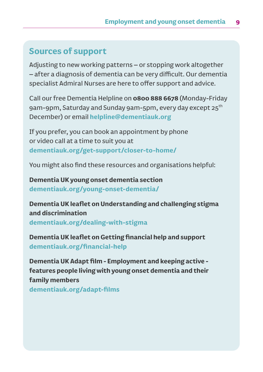# **Sources of support**

Adjusting to new working patterns – or stopping work altogether – after a diagnosis of dementia can be very difficult. Our dementia specialist Admiral Nurses are here to offer support and advice.

Call our free Dementia Helpline on **0800 888 6678** (Monday-Friday 9am-9pm, Saturday and Sunday 9am-5pm, every day except 25<sup>th</sup> December) or email **[helpline@dementiauk.org](mailto:helpline@dementiauk.org)**

If you prefer, you can book an appointment by phone or video call at a time to suit you at **[dementiauk.org/get-support/closer-to-home/](http://dementiauk.org/get-support/closer-to-home/)**

You might also find these resources and organisations helpful:

**Dementia UK young onset dementia section [dementiauk.org/young-onset-dementia/](http://dementiauk.org/young-onset-dementia/)**

**Dementia UK leaflet on Understanding and challenging stigma and discrimination [dementiauk.org/dealing-with-stigma](http://dementiauk.org/dealing-with-stigma)**

**Dementia UK leaflet on Getting financial help and support [dementiauk.org/financial-help](http://dementiauk.org/financial-help)**

**Dementia UK Adapt film - Employment and keeping active features people living with young onset dementia and their family members [dementiauk.org/adapt-films](http://dementiauk.org/adapt-films)**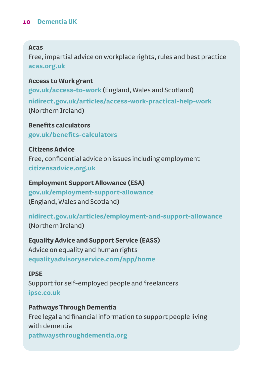#### **Acas**

Free, impartial advice on workplace rights, rules and best practice **[acas.org.uk](http://acas.org.uk/)**

#### **Access to Work grant**

**[gov.uk/access-to-work](http://gov.uk/access-to-work)** (England, Wales and Scotland) **[nidirect.gov.uk/articles/access-work-practical-help-work](http://nidirect.gov.uk/articles/access-work-practical-help-work)** (Northern Ireland)

**Benefits calculators [gov.uk/benefits-calculators](http://gov.uk/benefits-calculators)**

**Citizens Advice** Free, confidential advice on issues including employment **[citizensadvice.org.uk](http://citizensadvice.org.uk/)**

**Employment Support Allowance (ESA) [gov.uk/employment-support-allowance](http://gov.uk/employment-support-allowance)** (England, Wales and Scotland)

**[nidirect.gov.uk/articles/employment-and-support-allowance](http://nidirect.gov.uk/articles/employment-and-support-allowance)** (Northern Ireland)

**Equality Advice and Support Service (EASS)** Advice on equality and human rights **[equalityadvisoryservice.com/app/home](http://equalityadvisoryservice.com/app/home)**

#### **IPSE**

Support for self-employed people and freelancers **[ipse.co.uk](http://ipse.co.uk/)**

**Pathways Through Dementia** Free legal and financial information to support people living with dementia **[pathwaysthroughdementia.org](http://pathwaysthroughdementia.org)**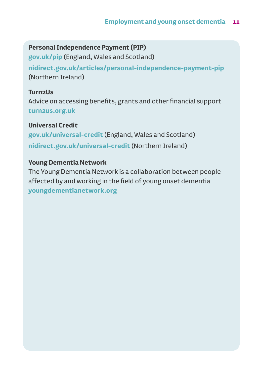### **Personal Independence Payment (PIP)**

**[gov.uk/pip](http://gov.uk/pip)** (England, Wales and Scotland)

**[nidirect.gov.uk/articles/personal-independence-payment-pip](http://nidirect.gov.uk/articles/personal-independence-payment-pip)** (Northern Ireland)

### **Turn2Us**

Advice on accessing benefits, grants and other financial support **[turn2us.org.uk](http://turn2us.org.uk/)**

### **Universal Credit**

**[gov.uk/universal-credit](http://gov.uk/universal-credit)** (England, Wales and Scotland) **[nidirect.gov.uk/universal-credit](http://nidirect.gov.uk/universal-credit)** (Northern Ireland)

### **Young Dementia Network**

The Young Dementia Network is a collaboration between people affected by and working in the field of young onset dementia **[youngdementianetwork.org](http://youngdementianetwork.org)**